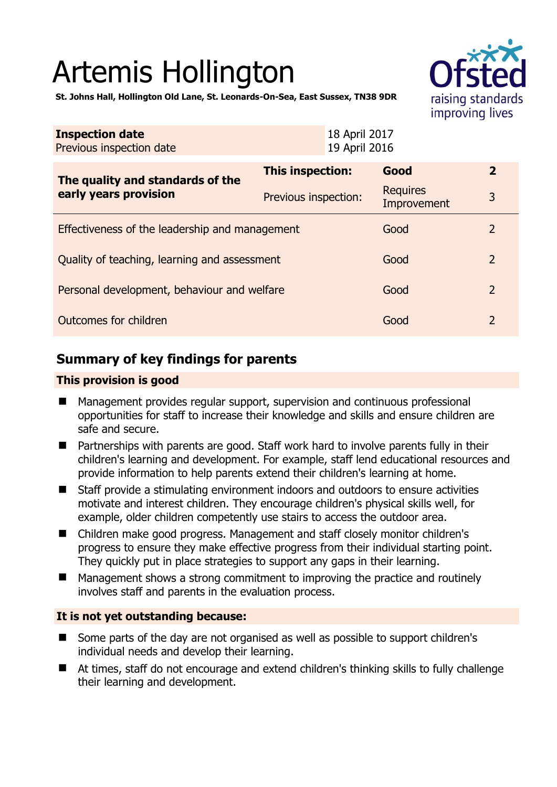# Artemis Hollington



**St. Johns Hall, Hollington Old Lane, St. Leonards-On-Sea, East Sussex, TN38 9DR** 

| <b>Inspection date</b><br>Previous inspection date        | 18 April 2017<br>19 April 2016 |                 |                  |
|-----------------------------------------------------------|--------------------------------|-----------------|------------------|
| The quality and standards of the<br>early years provision | This inspection:               | Good            | $\overline{2}$   |
|                                                           | Previous inspection:           | <b>Requires</b> | 3<br>Improvement |
| Effectiveness of the leadership and management            |                                |                 | 2                |
| Quality of teaching, learning and assessment              |                                |                 | 2                |
| Personal development, behaviour and welfare               |                                |                 | $\overline{2}$   |
| Outcomes for children                                     |                                |                 | $\overline{2}$   |

# **Summary of key findings for parents**

### **This provision is good**

- Management provides regular support, supervision and continuous professional opportunities for staff to increase their knowledge and skills and ensure children are safe and secure.
- Partnerships with parents are good. Staff work hard to involve parents fully in their children's learning and development. For example, staff lend educational resources and provide information to help parents extend their children's learning at home.
- Staff provide a stimulating environment indoors and outdoors to ensure activities motivate and interest children. They encourage children's physical skills well, for example, older children competently use stairs to access the outdoor area.
- Children make good progress. Management and staff closely monitor children's progress to ensure they make effective progress from their individual starting point. They quickly put in place strategies to support any gaps in their learning.
- Management shows a strong commitment to improving the practice and routinely involves staff and parents in the evaluation process.

## **It is not yet outstanding because:**

- Some parts of the day are not organised as well as possible to support children's individual needs and develop their learning.
- At times, staff do not encourage and extend children's thinking skills to fully challenge their learning and development.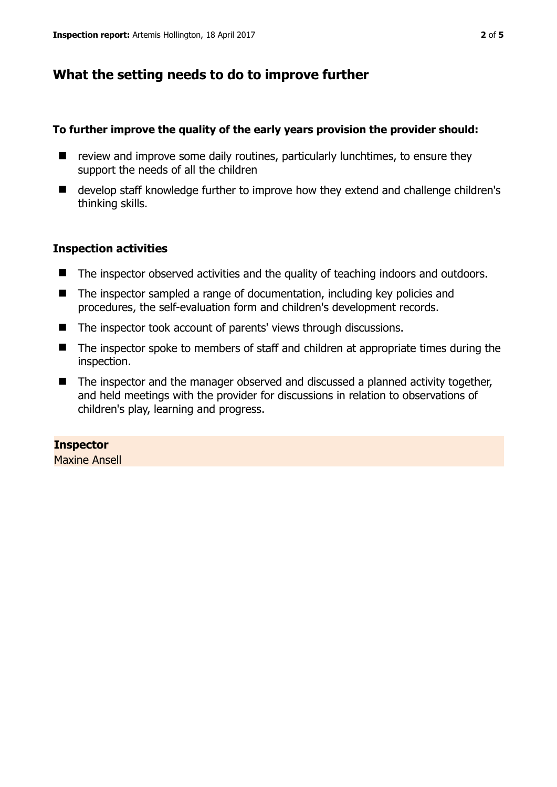# **What the setting needs to do to improve further**

## **To further improve the quality of the early years provision the provider should:**

- $\blacksquare$  review and improve some daily routines, particularly lunchtimes, to ensure they support the needs of all the children
- develop staff knowledge further to improve how they extend and challenge children's thinking skills.

# **Inspection activities**

- The inspector observed activities and the quality of teaching indoors and outdoors.
- The inspector sampled a range of documentation, including key policies and procedures, the self-evaluation form and children's development records.
- The inspector took account of parents' views through discussions.
- The inspector spoke to members of staff and children at appropriate times during the inspection.
- The inspector and the manager observed and discussed a planned activity together, and held meetings with the provider for discussions in relation to observations of children's play, learning and progress.

#### **Inspector**  Maxine Ansell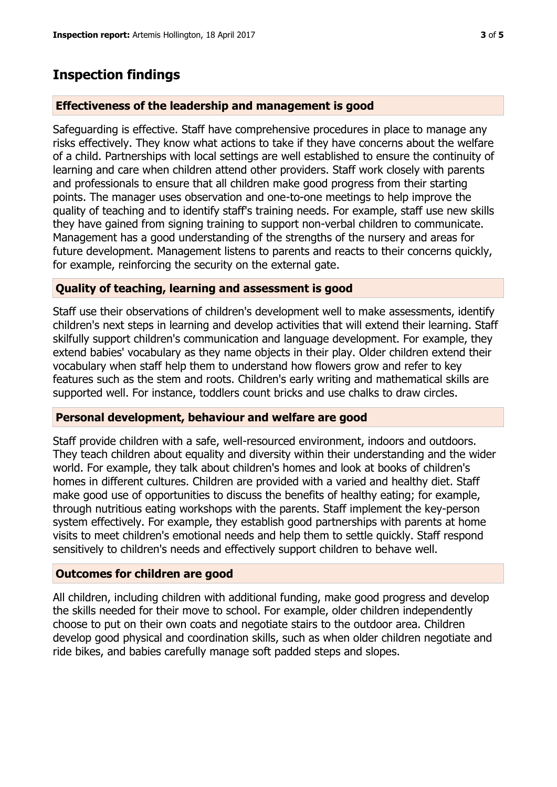# **Inspection findings**

# **Effectiveness of the leadership and management is good**

Safeguarding is effective. Staff have comprehensive procedures in place to manage any risks effectively. They know what actions to take if they have concerns about the welfare of a child. Partnerships with local settings are well established to ensure the continuity of learning and care when children attend other providers. Staff work closely with parents and professionals to ensure that all children make good progress from their starting points. The manager uses observation and one-to-one meetings to help improve the quality of teaching and to identify staff's training needs. For example, staff use new skills they have gained from signing training to support non-verbal children to communicate. Management has a good understanding of the strengths of the nursery and areas for future development. Management listens to parents and reacts to their concerns quickly, for example, reinforcing the security on the external gate.

# **Quality of teaching, learning and assessment is good**

Staff use their observations of children's development well to make assessments, identify children's next steps in learning and develop activities that will extend their learning. Staff skilfully support children's communication and language development. For example, they extend babies' vocabulary as they name objects in their play. Older children extend their vocabulary when staff help them to understand how flowers grow and refer to key features such as the stem and roots. Children's early writing and mathematical skills are supported well. For instance, toddlers count bricks and use chalks to draw circles.

## **Personal development, behaviour and welfare are good**

Staff provide children with a safe, well-resourced environment, indoors and outdoors. They teach children about equality and diversity within their understanding and the wider world. For example, they talk about children's homes and look at books of children's homes in different cultures. Children are provided with a varied and healthy diet. Staff make good use of opportunities to discuss the benefits of healthy eating; for example, through nutritious eating workshops with the parents. Staff implement the key-person system effectively. For example, they establish good partnerships with parents at home visits to meet children's emotional needs and help them to settle quickly. Staff respond sensitively to children's needs and effectively support children to behave well.

## **Outcomes for children are good**

All children, including children with additional funding, make good progress and develop the skills needed for their move to school. For example, older children independently choose to put on their own coats and negotiate stairs to the outdoor area. Children develop good physical and coordination skills, such as when older children negotiate and ride bikes, and babies carefully manage soft padded steps and slopes.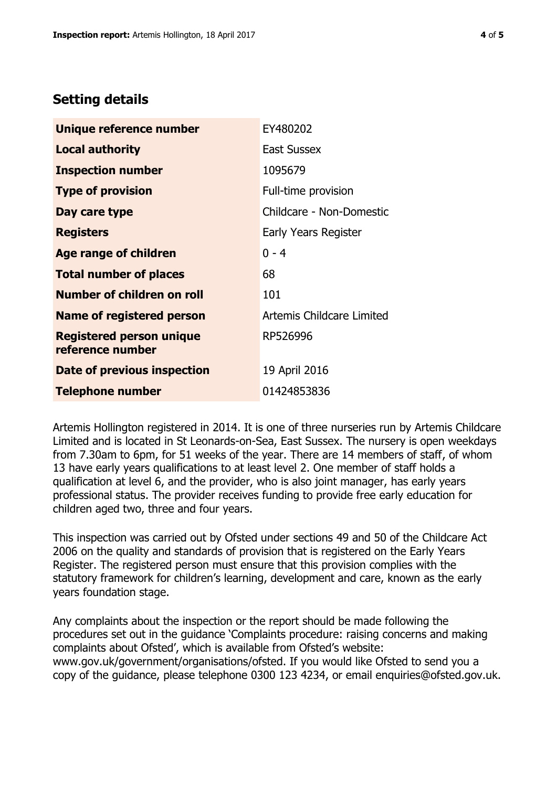# **Setting details**

| Unique reference number                             | EY480202                  |  |
|-----------------------------------------------------|---------------------------|--|
| Local authority                                     | <b>East Sussex</b>        |  |
| <b>Inspection number</b>                            | 1095679                   |  |
| <b>Type of provision</b>                            | Full-time provision       |  |
| Day care type                                       | Childcare - Non-Domestic  |  |
| <b>Registers</b>                                    | Early Years Register      |  |
| <b>Age range of children</b>                        | $0 - 4$                   |  |
| <b>Total number of places</b>                       | 68                        |  |
| <b>Number of children on roll</b>                   | 101                       |  |
| Name of registered person                           | Artemis Childcare Limited |  |
| <b>Registered person unique</b><br>reference number | RP526996                  |  |
| Date of previous inspection                         | 19 April 2016             |  |
| <b>Telephone number</b>                             | 01424853836               |  |

Artemis Hollington registered in 2014. It is one of three nurseries run by Artemis Childcare Limited and is located in St Leonards-on-Sea, East Sussex. The nursery is open weekdays from 7.30am to 6pm, for 51 weeks of the year. There are 14 members of staff, of whom 13 have early years qualifications to at least level 2. One member of staff holds a qualification at level 6, and the provider, who is also joint manager, has early years professional status. The provider receives funding to provide free early education for children aged two, three and four years.

This inspection was carried out by Ofsted under sections 49 and 50 of the Childcare Act 2006 on the quality and standards of provision that is registered on the Early Years Register. The registered person must ensure that this provision complies with the statutory framework for children's learning, development and care, known as the early years foundation stage.

Any complaints about the inspection or the report should be made following the procedures set out in the guidance 'Complaints procedure: raising concerns and making complaints about Ofsted', which is available from Ofsted's website: www.gov.uk/government/organisations/ofsted. If you would like Ofsted to send you a copy of the guidance, please telephone 0300 123 4234, or email enquiries@ofsted.gov.uk.